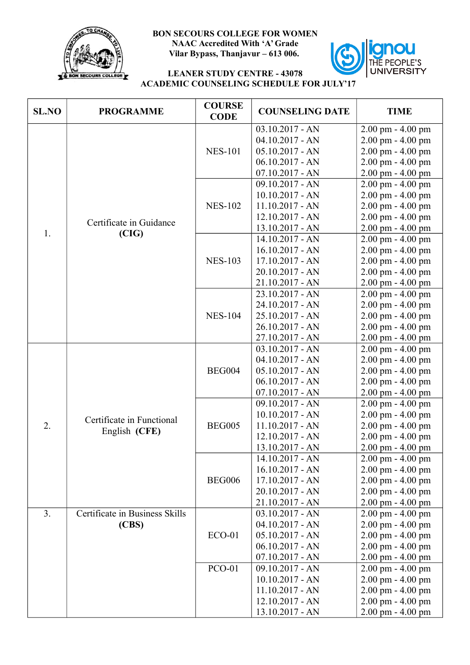

## **BON SECOURS COLLEGE FOR WOMEN NAAC Accredited With 'A' Grade Vilar Bypass, Thanjavur – 613 006.**



## **LEANER STUDY CENTRE - 43078 ACADEMIC COUNSELING SCHEDULE FOR JULY'17**

| <b>SL.NO</b>   | <b>PROGRAMME</b>                           | <b>COURSE</b><br><b>CODE</b> | <b>COUNSELING DATE</b>                                                                                                 | <b>TIME</b>                                                                                                                               |
|----------------|--------------------------------------------|------------------------------|------------------------------------------------------------------------------------------------------------------------|-------------------------------------------------------------------------------------------------------------------------------------------|
| 1.             | Certificate in Guidance<br>(CIG)           | <b>NES-101</b>               | $03.10.2017 - AN$<br>$04.10.2017 - AN$<br>$05.10.2017 - AN$<br>$06.10.2017 - AN$                                       | $2.00$ pm $- 4.00$ pm<br>2.00 pm - 4.00 pm<br>2.00 pm - 4.00 pm<br>2.00 pm - 4.00 pm                                                      |
|                |                                            | <b>NES-102</b>               | $07.10.2017 - AN$<br>09.10.2017 - AN<br>$10.10.2017 - AN$<br>$11.10.2017 - AN$<br>$12.10.2017 - AN$<br>13.10.2017 - AN | 2.00 pm - 4.00 pm<br>2.00 pm - 4.00 pm<br>$2.00$ pm $- 4.00$ pm<br>2.00 pm - 4.00 pm<br>2.00 pm - 4.00 pm<br>2.00 pm - 4.00 pm            |
|                |                                            | <b>NES-103</b>               | 14.10.2017 - AN<br>$16.10.2017 - AN$<br>$17.10.2017 - AN$<br>20.10.2017 - AN<br>$21.10.2017 - AN$                      | 2.00 pm - 4.00 pm<br>$2.00$ pm $- 4.00$ pm<br>$2.00$ pm $- 4.00$ pm<br>2.00 pm - 4.00 pm<br>2.00 pm - 4.00 pm                             |
|                |                                            | <b>NES-104</b>               | 23.10.2017 - AN<br>24.10.2017 - AN<br>25.10.2017 - AN<br>26.10.2017 - AN<br>$27.10.2017 - AN$                          | $2.00$ pm $- 4.00$ pm<br>2.00 pm - 4.00 pm<br>$2.00$ pm $- 4.00$ pm<br>$2.00$ pm $- 4.00$ pm<br>2.00 pm - 4.00 pm                         |
|                |                                            | <b>BEG004</b>                | $03.10.2017 - AN$<br>$04.10.2017 - AN$<br>$05.10.2017 - AN$<br>$06.10.2017 - AN$<br>$07.10.2017 - AN$                  | 2.00 pm - 4.00 pm<br>$2.00$ pm $- 4.00$ pm<br>$2.00$ pm $- 4.00$ pm<br>2.00 pm - 4.00 pm<br>2.00 pm - 4.00 pm                             |
| 2.             | Certificate in Functional<br>English (CFE) | <b>BEG005</b>                | 09.10.2017 - AN<br>$10.10.2017 - AN$<br>$11.10.2017 - AN$<br>$12.10.2017 - AN$<br>$13.10.2017 - AN$                    | 2.00 pm - 4.00 pm<br>2.00 pm - 4.00 pm<br>2.00 pm - 4.00 pm<br>2.00 pm - 4.00 pm<br>2.00 pm - 4.00 pm                                     |
|                |                                            | <b>BEG006</b>                | 14.10.2017 - AN<br>$16.10.2017 - AN$<br>$17.10.2017 - AN$<br>20.10.2017 - AN<br>21.10.2017 - AN                        | 2.00 pm - 4.00 pm<br>$2.00 \text{ pm} - 4.00 \text{ pm}$<br>2.00 pm - 4.00 pm<br>$2.00 \text{ pm} - 4.00 \text{ pm}$<br>2.00 pm - 4.00 pm |
| 3 <sub>1</sub> | Certificate in Business Skills<br>(CBS)    | <b>ECO-01</b>                | $03.10.2017 - AN$<br>$04.10.2017 - AN$<br>$05.10.2017 - AN$<br>$06.10.2017 - AN$<br>$07.10.2017 - AN$                  | 2.00 pm - 4.00 pm<br>$2.00$ pm $- 4.00$ pm<br>$2.00$ pm $- 4.00$ pm<br>2.00 pm - 4.00 pm<br>2.00 pm - 4.00 pm                             |
|                |                                            | <b>PCO-01</b>                | $09.10.2017 - AN$<br>$10.10.2017 - AN$<br>$11.10.2017 - AN$<br>12.10.2017 - AN<br>13.10.2017 - AN                      | $2.00$ pm $- 4.00$ pm<br>$2.00$ pm $- 4.00$ pm<br>2.00 pm - 4.00 pm<br>$2.00$ pm $- 4.00$ pm<br>2.00 pm - 4.00 pm                         |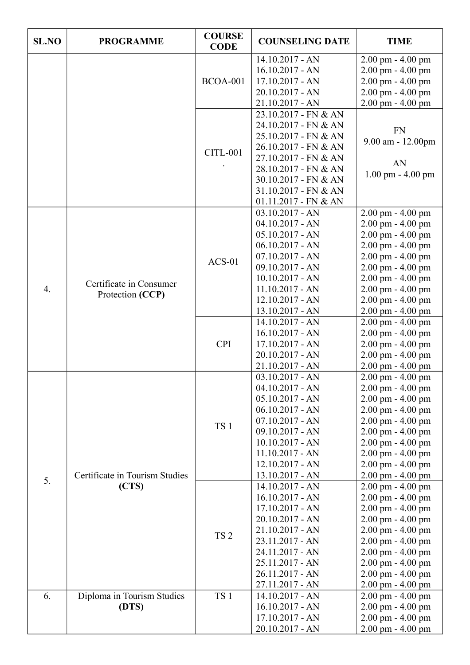| <b>SL.NO</b>     | <b>PROGRAMME</b>                            | <b>COURSE</b><br><b>CODE</b> | <b>COUNSELING DATE</b>                                                                                                                                                                                                 | <b>TIME</b>                                                                                                                                                                                                                                          |
|------------------|---------------------------------------------|------------------------------|------------------------------------------------------------------------------------------------------------------------------------------------------------------------------------------------------------------------|------------------------------------------------------------------------------------------------------------------------------------------------------------------------------------------------------------------------------------------------------|
|                  |                                             | <b>BCOA-001</b>              | 14.10.2017 - AN<br>$16.10.2017 - AN$<br>$17.10.2017 - AN$<br>20.10.2017 - AN<br>21.10.2017 - AN                                                                                                                        | 2.00 pm - 4.00 pm<br>$2.00$ pm $- 4.00$ pm<br>$2.00$ pm $- 4.00$ pm<br>2.00 pm - 4.00 pm<br>2.00 pm - 4.00 pm                                                                                                                                        |
|                  |                                             | <b>CITL-001</b>              | 23.10.2017 - FN & AN<br>24.10.2017 - FN & AN<br>25.10.2017 - FN & AN<br>26.10.2017 - FN & AN<br>27.10.2017 - FN & AN<br>28.10.2017 - FN & AN<br>30.10.2017 - FN & AN<br>31.10.2017 - FN & AN<br>$01.11.2017$ - FN & AN | <b>FN</b><br>9.00 am - 12.00pm<br>AN<br>$1.00$ pm $- 4.00$ pm                                                                                                                                                                                        |
| $\overline{4}$ . | Certificate in Consumer<br>Protection (CCP) | $ACS-01$                     | $03.10.2017 - AN$<br>$04.10.2017 - AN$<br>$05.10.2017 - AN$<br>$06.10.2017 - AN$<br>$07.10.2017 - AN$<br>$09.10.2017 - AN$<br>$10.10.2017 - AN$<br>$11.10.2017 - AN$<br>$12.10.2017 - AN$<br>$13.10.2017 - AN$         | 2.00 pm - 4.00 pm<br>$2.00$ pm $- 4.00$ pm<br>2.00 pm - 4.00 pm<br>$2.00$ pm $- 4.00$ pm<br>2.00 pm - 4.00 pm<br>2.00 pm - 4.00 pm<br>2.00 pm - 4.00 pm<br>$2.00$ pm $- 4.00$ pm<br>$2.00$ pm $- 4.00$ pm<br>2.00 pm - 4.00 pm                       |
|                  |                                             | <b>CPI</b>                   | 14.10.2017 - AN<br>$16.10.2017 - AN$<br>$17.10.2017 - AN$<br>20.10.2017 - AN<br>21.10.2017 - AN                                                                                                                        | 2.00 pm - 4.00 pm<br>2.00 pm - 4.00 pm<br>2.00 pm - 4.00 pm<br>$2.00$ pm $- 4.00$ pm<br>2.00 pm - 4.00 pm                                                                                                                                            |
|                  | Certificate in Tourism Studies              | TS <sub>1</sub>              | $03.10.2017 - AN$<br>$04.10.2017 - AN$<br>$05.10.2017 - AN$<br>$06.10.2017 - AN$<br>$07.10.2017 - AN$<br>$09.10.2017 - AN$<br>$10.10.2017 - AN$<br>$11.10.2017 - AN$<br>$12.10.2017 - AN$<br>13.10.2017 - AN           | $2.00$ pm $- 4.00$ pm<br>$2.00 \text{ pm} - 4.00 \text{ pm}$<br>$2.00$ pm $- 4.00$ pm<br>2.00 pm - 4.00 pm<br>$2.00$ pm $- 4.00$ pm<br>2.00 pm - 4.00 pm<br>2.00 pm - 4.00 pm<br>$2.00$ pm $- 4.00$ pm<br>$2.00$ pm $- 4.00$ pm<br>2.00 pm - 4.00 pm |
| 5.               | (CTS)                                       | TS <sub>2</sub>              | 14.10.2017 - AN<br>$16.10.2017 - AN$<br>$17.10.2017 - AN$<br>20.10.2017 - AN<br>21.10.2017 - AN<br>23.11.2017 - AN<br>24.11.2017 - AN<br>25.11.2017 - AN<br>26.11.2017 - AN<br>27.11.2017 - AN                         | 2.00 pm - 4.00 pm<br>$2.00$ pm $- 4.00$ pm<br>2.00 pm - 4.00 pm<br>$2.00$ pm $- 4.00$ pm<br>$2.00$ pm $- 4.00$ pm<br>$2.00$ pm $- 4.00$ pm<br>$2.00$ pm $- 4.00$ pm<br>$2.00$ pm $- 4.00$ pm<br>$2.00$ pm $- 4.00$ pm<br>2.00 pm - 4.00 pm           |
| 6.               | Diploma in Tourism Studies<br>(DTS)         | TS <sub>1</sub>              | 14.10.2017 - AN<br>$16.10.2017 - AN$<br>$17.10.2017 - AN$<br>20.10.2017 - AN                                                                                                                                           | $2.00$ pm $- 4.00$ pm<br>$2.00$ pm $- 4.00$ pm<br>$2.00$ pm $- 4.00$ pm<br>2.00 pm - 4.00 pm                                                                                                                                                         |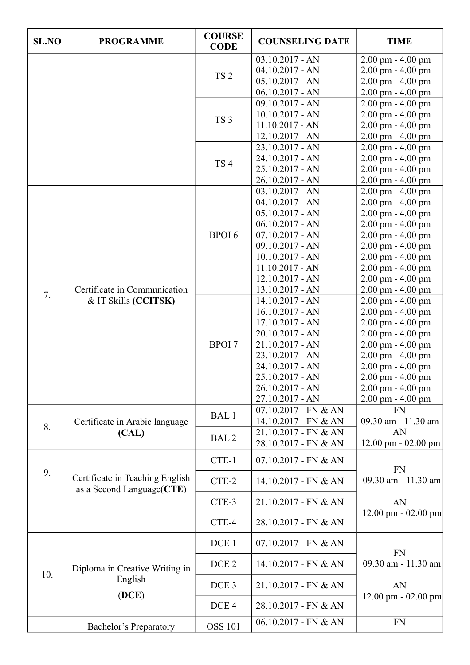| <b>SL.NO</b> | <b>PROGRAMME</b>                                              | <b>COURSE</b><br><b>CODE</b> | <b>COUNSELING DATE</b>                                                                                                                                                                                       | <b>TIME</b>                                                                                                                                                                                                                                          |
|--------------|---------------------------------------------------------------|------------------------------|--------------------------------------------------------------------------------------------------------------------------------------------------------------------------------------------------------------|------------------------------------------------------------------------------------------------------------------------------------------------------------------------------------------------------------------------------------------------------|
|              |                                                               | TS <sub>2</sub>              | $03.10.2017 - AN$<br>$04.10.2017 - AN$<br>$05.10.2017 - AN$<br>$06.10.2017 - AN$                                                                                                                             | $2.00$ pm $- 4.00$ pm<br>$2.00$ pm $- 4.00$ pm<br>2.00 pm - 4.00 pm<br>2.00 pm - 4.00 pm                                                                                                                                                             |
|              |                                                               | TS <sub>3</sub>              | 09.10.2017 - AN<br>$10.10.2017 - AN$<br>$11.10.2017 - AN$<br>$12.10.2017 - AN$                                                                                                                               | 2.00 pm - 4.00 pm<br>2.00 pm - 4.00 pm<br>2.00 pm - 4.00 pm<br>2.00 pm - 4.00 pm                                                                                                                                                                     |
|              |                                                               | TS <sub>4</sub>              | 23.10.2017 - AN<br>24.10.2017 - AN<br>25.10.2017 - AN<br>$26.10.2017 - AN$                                                                                                                                   | 2.00 pm - 4.00 pm<br>$2.00$ pm $- 4.00$ pm<br>2.00 pm - 4.00 pm<br>2.00 pm - 4.00 pm                                                                                                                                                                 |
|              | Certificate in Communication                                  | <b>BPOI6</b>                 | $03.10.2017 - AN$<br>$04.10.2017 - AN$<br>$05.10.2017 - AN$<br>$06.10.2017 - AN$<br>$07.10.2017 - AN$<br>$09.10.2017 - AN$<br>$10.10.2017 - AN$<br>$11.10.2017 - AN$<br>$12.10.2017 - AN$<br>13.10.2017 - AN | $2.00$ pm $- 4.00$ pm<br>2.00 pm - 4.00 pm<br>$2.00$ pm $- 4.00$ pm<br>2.00 pm - 4.00 pm<br>$2.00$ pm - $4.00$ pm<br>2.00 pm - 4.00 pm<br>2.00 pm - 4.00 pm<br>2.00 pm - 4.00 pm<br>$2.00$ pm $- 4.00$ pm<br>2.00 pm - 4.00 pm                       |
| 7.           | & IT Skills (CCITSK)                                          | <b>BPOI</b> 7                | 14.10.2017 - AN<br>$16.10.2017 - AN$<br>$17.10.2017 - AN$<br>20.10.2017 - AN<br>$21.10.2017 - AN$<br>23.10.2017 - AN<br>24.10.2017 - AN<br>25.10.2017 - AN<br>26.10.2017 - AN<br>27.10.2017 - AN             | $2.00$ pm $- 4.00$ pm<br>$2.00$ pm $- 4.00$ pm<br>2.00 pm - 4.00 pm<br>2.00 pm - 4.00 pm<br>2.00 pm - 4.00 pm<br>$2.00$ pm $- 4.00$ pm<br>2.00 pm - 4.00 pm<br>$2.00$ pm $- 4.00$ pm<br>$2.00 \text{ pm} - 4.00 \text{ pm}$<br>$2.00$ pm $- 4.00$ pm |
| 8.           | Certificate in Arabic language                                | BAL <sub>1</sub>             | 07.10.2017 - FN & AN<br>14.10.2017 - FN & AN                                                                                                                                                                 | <b>FN</b><br>09.30 am - 11.30 am                                                                                                                                                                                                                     |
|              | (CAL)                                                         | BAL <sub>2</sub>             | 21.10.2017 - FN & AN<br>28.10.2017 - FN & AN                                                                                                                                                                 | AN<br>$12.00 \text{ pm} - 02.00 \text{ pm}$                                                                                                                                                                                                          |
| 9.           | Certificate in Teaching English<br>as a Second Language (CTE) | CTE-1                        | $07.10.2017$ - FN & AN                                                                                                                                                                                       | <b>FN</b>                                                                                                                                                                                                                                            |
|              |                                                               | CTE-2                        | 14.10.2017 - FN & AN                                                                                                                                                                                         | 09.30 am - 11.30 am                                                                                                                                                                                                                                  |
|              |                                                               | CTE-3                        | 21.10.2017 - FN & AN                                                                                                                                                                                         | AN<br>$12.00 \text{ pm} - 02.00 \text{ pm}$                                                                                                                                                                                                          |
|              |                                                               | CTE-4                        | 28.10.2017 - FN & AN                                                                                                                                                                                         |                                                                                                                                                                                                                                                      |
| 10.          | Diploma in Creative Writing in<br>English<br>(DCE)            | DCE <sub>1</sub>             | $07.10.2017$ - FN & AN                                                                                                                                                                                       | <b>FN</b>                                                                                                                                                                                                                                            |
|              |                                                               | DCE <sub>2</sub>             | $14.10.2017$ - FN & AN                                                                                                                                                                                       | 09.30 am - 11.30 am                                                                                                                                                                                                                                  |
|              |                                                               | DCE <sub>3</sub>             | 21.10.2017 - FN & AN                                                                                                                                                                                         | AN                                                                                                                                                                                                                                                   |
|              |                                                               | DCE <sub>4</sub>             | 28.10.2017 - FN & AN                                                                                                                                                                                         | $12.00 \text{ pm} - 02.00 \text{ pm}$                                                                                                                                                                                                                |
|              | <b>Bachelor's Preparatory</b>                                 | <b>OSS 101</b>               | $06.10.2017$ - FN & AN                                                                                                                                                                                       | <b>FN</b>                                                                                                                                                                                                                                            |